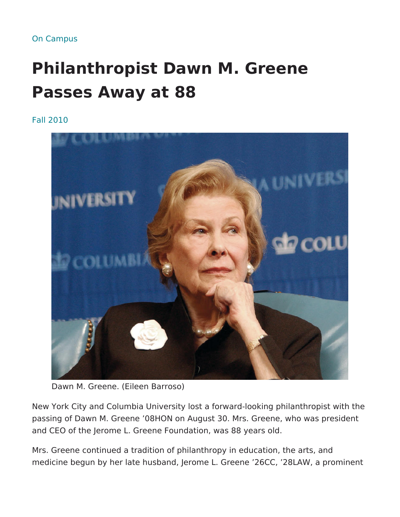## [On Camp](https://magazine.columbia.edu/on-campus)us

Philanthropist Dawn M. Greene Passes Away at 88

[Fall 20](https://magazine.columbia.edu/issues/fall-2010)10

Dawn M. Greene. (Eileen Barroso)

New York City and Columbia University lost a forward-looking phil passing of Dawn M. Greene 08HON on August 30. Mrs. Greene, w and CEO of the Jerome L. Greene Foundation, was 88 years old.

Mrs. Greene continued a tradition of philanthropy in education, th medicine begun by her late husband, Jerome L. Greene 26CC, 28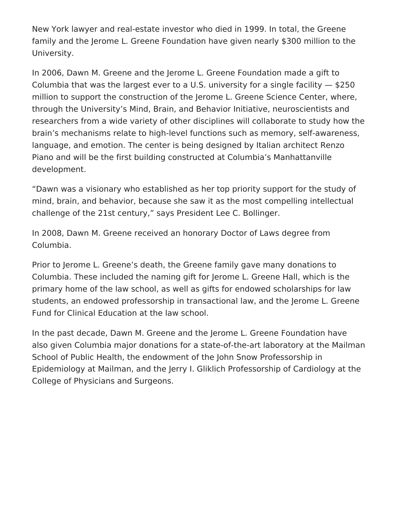New York lawyer and real-estate investor who died in 1999. In total, the Greene family and the Jerome L. Greene Foundation have given nearly \$300 million to the University.

In 2006, Dawn M. Greene and the Jerome L. Greene Foundation made a gift to Columbia that was the largest ever to a U.S. university for a single facility — \$250 million to support the construction of the Jerome L. Greene Science Center, where, through the University's Mind, Brain, and Behavior Initiative, neuroscientists and researchers from a wide variety of other disciplines will collaborate to study how the brain's mechanisms relate to high-level functions such as memory, self-awareness, language, and emotion. The center is being designed by Italian architect Renzo Piano and will be the first building constructed at Columbia's Manhattanville development.

"Dawn was a visionary who established as her top priority support for the study of mind, brain, and behavior, because she saw it as the most compelling intellectual challenge of the 21st century," says President Lee C. Bollinger.

In 2008, Dawn M. Greene received an honorary Doctor of Laws degree from Columbia.

Prior to Jerome L. Greene's death, the Greene family gave many donations to Columbia. These included the naming gift for Jerome L. Greene Hall, which is the primary home of the law school, as well as gifts for endowed scholarships for law students, an endowed professorship in transactional law, and the Jerome L. Greene Fund for Clinical Education at the law school.

In the past decade, Dawn M. Greene and the Jerome L. Greene Foundation have also given Columbia major donations for a state-of-the-art laboratory at the Mailman School of Public Health, the endowment of the John Snow Professorship in Epidemiology at Mailman, and the Jerry I. Gliklich Professorship of Cardiology at the College of Physicians and Surgeons.